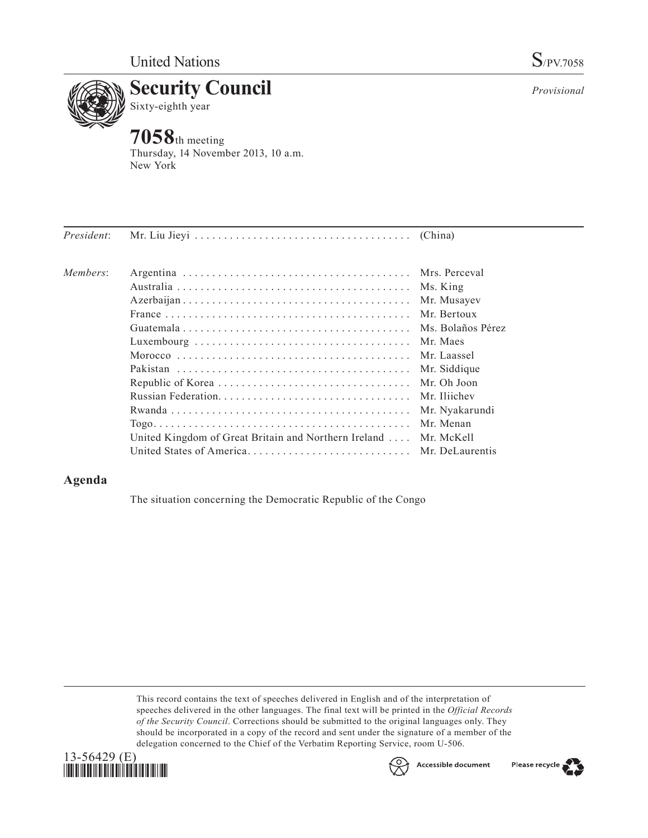*Provisional*



Thursday, 14 November 2013, 10 a.m. New York

|                                                      | Ms. King          |
|------------------------------------------------------|-------------------|
|                                                      | Mr. Musayev       |
|                                                      | Mr. Bertoux       |
|                                                      | Ms. Bolaños Pérez |
|                                                      | Mr. Maes          |
|                                                      | Mr. Laassel       |
|                                                      | Mr. Siddique      |
|                                                      | Mr. Oh Joon       |
|                                                      | Mr. Iliichev      |
|                                                      | Mr. Nyakarundi    |
|                                                      | Mr. Menan         |
| United Kingdom of Great Britain and Northern Ireland | Mr. McKell        |
| United States of America Mr. DeLaurentis             |                   |
|                                                      |                   |

## **Agenda**

The situation concerning the Democratic Republic of the Congo

This record contains the text of speeches delivered in English and of the interpretation of speeches delivered in the other languages. The final text will be printed in the *Official Records of the Security Council*. Corrections should be submitted to the original languages only. They should be incorporated in a copy of the record and sent under the signature of a member of the delegation concerned to the Chief of the Verbatim Reporting Service, room U-506.